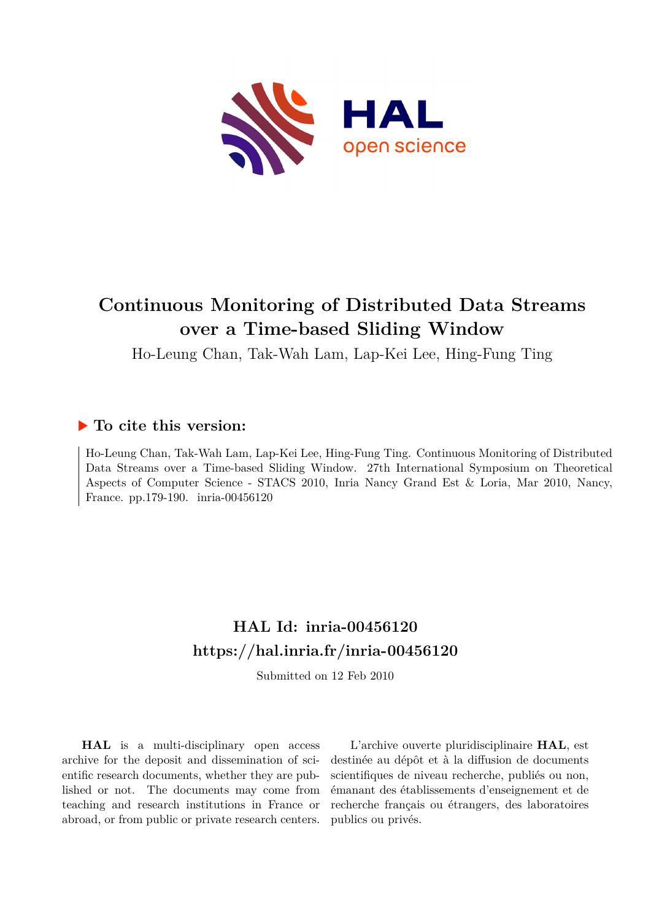

# **Continuous Monitoring of Distributed Data Streams over a Time-based Sliding Window**

Ho-Leung Chan, Tak-Wah Lam, Lap-Kei Lee, Hing-Fung Ting

### **To cite this version:**

Ho-Leung Chan, Tak-Wah Lam, Lap-Kei Lee, Hing-Fung Ting. Continuous Monitoring of Distributed Data Streams over a Time-based Sliding Window. 27th International Symposium on Theoretical Aspects of Computer Science - STACS 2010, Inria Nancy Grand Est & Loria, Mar 2010, Nancy, France. pp.179-190. inria-00456120

## **HAL Id: inria-00456120 <https://hal.inria.fr/inria-00456120>**

Submitted on 12 Feb 2010

**HAL** is a multi-disciplinary open access archive for the deposit and dissemination of scientific research documents, whether they are published or not. The documents may come from teaching and research institutions in France or abroad, or from public or private research centers.

L'archive ouverte pluridisciplinaire **HAL**, est destinée au dépôt et à la diffusion de documents scientifiques de niveau recherche, publiés ou non, émanant des établissements d'enseignement et de recherche français ou étrangers, des laboratoires publics ou privés.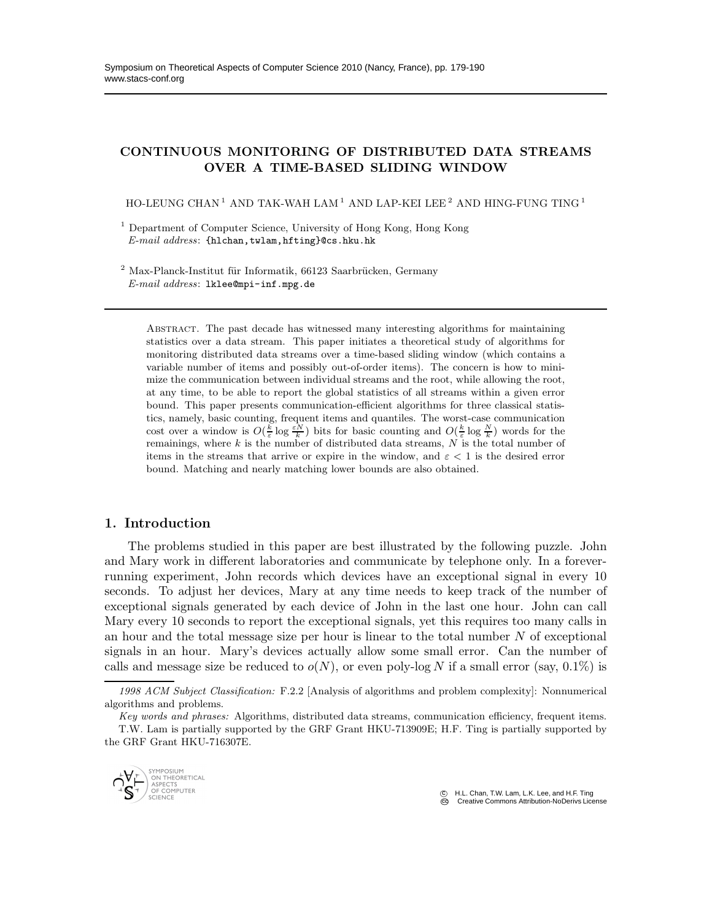### CONTINUOUS MONITORING OF DISTRIBUTED DATA STREAMS OVER A TIME-BASED SLIDING WINDOW

HO-LEUNG CHAN<sup>1</sup> AND TAK-WAH LAM<sup>1</sup> AND LAP-KEI LEE<sup>2</sup> AND HING-FUNG TING<sup>1</sup>

<sup>1</sup> Department of Computer Science, University of Hong Kong, Hong Kong  $E-mail$   $address:$  {hlchan, twlam, hfting}@cs.hku.hk

 $^{2}$  Max-Planck-Institut für Informatik, 66123 Saarbrücken, Germany E-mail address: lklee@mpi-inf.mpg.de

Abstract. The past decade has witnessed many interesting algorithms for maintaining statistics over a data stream. This paper initiates a theoretical study of algorithms for monitoring distributed data streams over a time-based sliding window (which contains a variable number of items and possibly out-of-order items). The concern is how to minimize the communication between individual streams and the root, while allowing the root, at any time, to be able to report the global statistics of all streams within a given error bound. This paper presents communication-efficient algorithms for three classical statistics, namely, basic counting, frequent items and quantiles. The worst-case communication cost over a window is  $O(\frac{k}{\varepsilon} \log \frac{\varepsilon N}{k})$  bits for basic counting and  $O(\frac{k}{\varepsilon} \log \frac{N}{k})$  words for the remainings, where  $k$  is the number of distributed data streams,  $N$  is the total number of items in the streams that arrive or expire in the window, and  $\varepsilon < 1$  is the desired error bound. Matching and nearly matching lower bounds are also obtained.

#### 1. Introduction

The problems studied in this paper are best illustrated by the following puzzle. John and Mary work in different laboratories and communicate by telephone only. In a foreverrunning experiment, John records which devices have an exceptional signal in every 10 seconds. To adjust her devices, Mary at any time needs to keep track of the number of exceptional signals generated by each device of John in the last one hour. John can call Mary every 10 seconds to report the exceptional signals, yet this requires too many calls in an hour and the total message size per hour is linear to the total number  $N$  of exceptional signals in an hour. Mary's devices actually allow some small error. Can the number of calls and message size be reduced to  $o(N)$ , or even poly-log N if a small error (say,  $0.1\%$ ) is

Key words and phrases: Algorithms, distributed data streams, communication efficiency, frequent items. T.W. Lam is partially supported by the GRF Grant HKU-713909E; H.F. Ting is partially supported by the GRF Grant HKU-716307E.



 c H.L. Chan, T.W. Lam, L.K. Lee, and H.F. Ting **CC** Creative Commons Attribution-NoDerivs License

<sup>1998</sup> ACM Subject Classification: F.2.2 [Analysis of algorithms and problem complexity]: Nonnumerical algorithms and problems.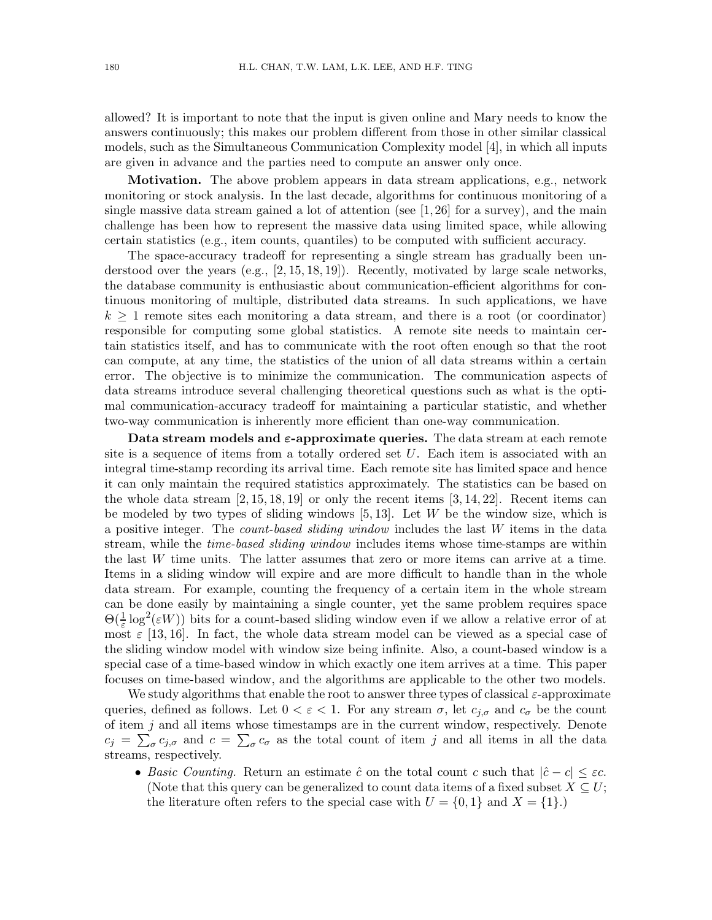allowed? It is important to note that the input is given online and Mary needs to know the answers continuously; this makes our problem different from those in other similar classical models, such as the Simultaneous Communication Complexity model [4], in which all inputs are given in advance and the parties need to compute an answer only once.

Motivation. The above problem appears in data stream applications, e.g., network monitoring or stock analysis. In the last decade, algorithms for continuous monitoring of a single massive data stream gained a lot of attention (see  $[1,26]$  for a survey), and the main challenge has been how to represent the massive data using limited space, while allowing certain statistics (e.g., item counts, quantiles) to be computed with sufficient accuracy.

The space-accuracy tradeoff for representing a single stream has gradually been understood over the years  $(e.g., [2, 15, 18, 19])$ . Recently, motivated by large scale networks, the database community is enthusiastic about communication-efficient algorithms for continuous monitoring of multiple, distributed data streams. In such applications, we have  $k \geq 1$  remote sites each monitoring a data stream, and there is a root (or coordinator) responsible for computing some global statistics. A remote site needs to maintain certain statistics itself, and has to communicate with the root often enough so that the root can compute, at any time, the statistics of the union of all data streams within a certain error. The objective is to minimize the communication. The communication aspects of data streams introduce several challenging theoretical questions such as what is the optimal communication-accuracy tradeoff for maintaining a particular statistic, and whether two-way communication is inherently more efficient than one-way communication.

Data stream models and  $\varepsilon$ -approximate queries. The data stream at each remote site is a sequence of items from a totally ordered set  $U$ . Each item is associated with an integral time-stamp recording its arrival time. Each remote site has limited space and hence it can only maintain the required statistics approximately. The statistics can be based on the whole data stream  $[2, 15, 18, 19]$  or only the recent items  $[3, 14, 22]$ . Recent items can be modeled by two types of sliding windows  $[5, 13]$ . Let W be the window size, which is a positive integer. The *count-based sliding window* includes the last W items in the data stream, while the *time-based sliding window* includes items whose time-stamps are within the last W time units. The latter assumes that zero or more items can arrive at a time. Items in a sliding window will expire and are more difficult to handle than in the whole data stream. For example, counting the frequency of a certain item in the whole stream can be done easily by maintaining a single counter, yet the same problem requires space  $\Theta(\frac{1}{\varepsilon}\log^2(\varepsilon W))$  bits for a count-based sliding window even if we allow a relative error of at most  $\varepsilon$  [13, 16]. In fact, the whole data stream model can be viewed as a special case of the sliding window model with window size being infinite. Also, a count-based window is a special case of a time-based window in which exactly one item arrives at a time. This paper focuses on time-based window, and the algorithms are applicable to the other two models.

We study algorithms that enable the root to answer three types of classical  $\varepsilon$ -approximate queries, defined as follows. Let  $0 < \varepsilon < 1$ . For any stream  $\sigma$ , let  $c_{i,\sigma}$  and  $c_{\sigma}$  be the count of item  $j$  and all items whose timestamps are in the current window, respectively. Denote  $c_j = \sum_{\sigma} c_{j,\sigma}$  and  $c = \sum_{\sigma} c_{\sigma}$  as the total count of item j and all items in all the data streams, respectively.

• *Basic Counting.* Return an estimate  $\hat{c}$  on the total count c such that  $|\hat{c} - c| \leq \varepsilon c$ . (Note that this query can be generalized to count data items of a fixed subset  $X \subseteq U$ ; the literature often refers to the special case with  $U = \{0, 1\}$  and  $X = \{1\}$ .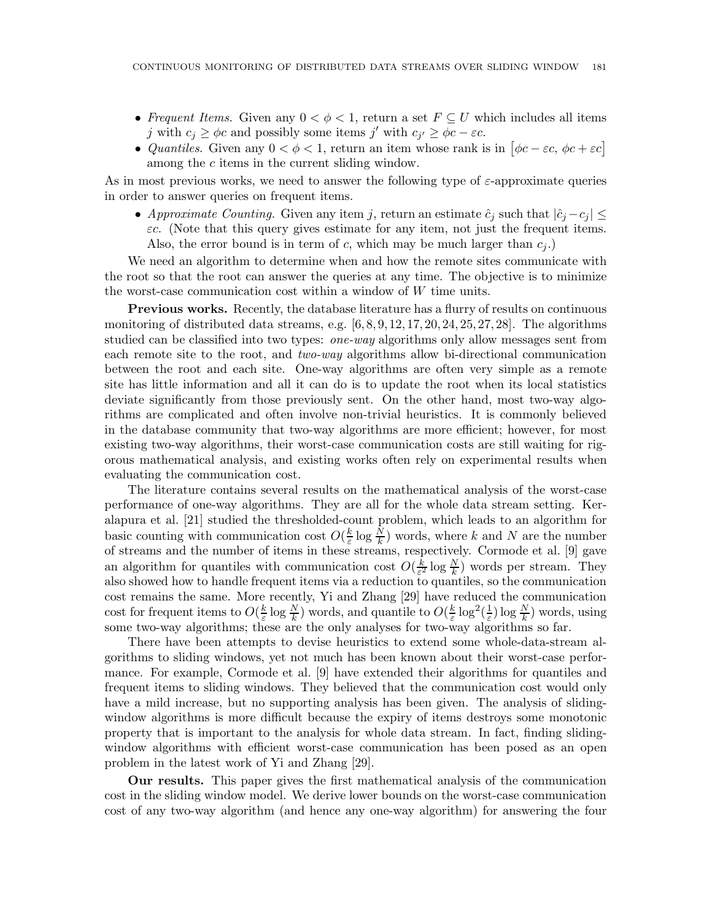- *Frequent Items.* Given any  $0 < \phi < 1$ , return a set  $F \subseteq U$  which includes all items j with  $c_j \ge \phi c$  and possibly some items j' with  $c_{j'} \ge \phi c - \varepsilon c$ .
- *Quantiles*. Given any  $0 < \phi < 1$ , return an item whose rank is in  $[\phi c \varepsilon c, \phi c + \varepsilon c]$ among the c items in the current sliding window.

As in most previous works, we need to answer the following type of  $\varepsilon$ -approximate queries in order to answer queries on frequent items.

• *Approximate Counting.* Given any item j, return an estimate  $\hat{c}_j$  such that  $|\hat{c}_j - c_j| \leq$  $\epsilon c$ . (Note that this query gives estimate for any item, not just the frequent items. Also, the error bound is in term of c, which may be much larger than  $c_i$ .

We need an algorithm to determine when and how the remote sites communicate with the root so that the root can answer the queries at any time. The objective is to minimize the worst-case communication cost within a window of W time units.

**Previous works.** Recently, the database literature has a flurry of results on continuous monitoring of distributed data streams, e.g. [6, 8, 9, 12, 17, 20, 24, 25, 27, 28]. The algorithms studied can be classified into two types: *one-way* algorithms only allow messages sent from each remote site to the root, and *two-way* algorithms allow bi-directional communication between the root and each site. One-way algorithms are often very simple as a remote site has little information and all it can do is to update the root when its local statistics deviate significantly from those previously sent. On the other hand, most two-way algorithms are complicated and often involve non-trivial heuristics. It is commonly believed in the database community that two-way algorithms are more efficient; however, for most existing two-way algorithms, their worst-case communication costs are still waiting for rigorous mathematical analysis, and existing works often rely on experimental results when evaluating the communication cost.

The literature contains several results on the mathematical analysis of the worst-case performance of one-way algorithms. They are all for the whole data stream setting. Keralapura et al. [21] studied the thresholded-count problem, which leads to an algorithm for basic counting with communication cost  $O(\frac{k}{\epsilon})$  $\frac{k}{\varepsilon} \log \frac{N}{k}$  words, where k and N are the number of streams and the number of items in these streams, respectively. Cormode et al. [9] gave an algorithm for quantiles with communication cost  $O(\frac{k}{\epsilon^2})$  $\frac{k}{\varepsilon^2} \log \frac{N}{k}$  words per stream. They also showed how to handle frequent items via a reduction to quantiles, so the communication cost remains the same. More recently, Yi and Zhang [29] have reduced the communication cost for frequent items to  $O(\frac{k}{\varepsilon})$  $\frac{k}{\varepsilon} \log \frac{N}{k}$ ) words, and quantile to  $O(\frac{k}{\varepsilon})$  $\frac{k}{\varepsilon} \log^2(\frac{1}{\varepsilon}) \log \frac{N}{k}$  words, using some two-way algorithms; these are the only analyses for two-way algorithms so far.

There have been attempts to devise heuristics to extend some whole-data-stream algorithms to sliding windows, yet not much has been known about their worst-case performance. For example, Cormode et al. [9] have extended their algorithms for quantiles and frequent items to sliding windows. They believed that the communication cost would only have a mild increase, but no supporting analysis has been given. The analysis of slidingwindow algorithms is more difficult because the expiry of items destroys some monotonic property that is important to the analysis for whole data stream. In fact, finding slidingwindow algorithms with efficient worst-case communication has been posed as an open problem in the latest work of Yi and Zhang [29].

Our results. This paper gives the first mathematical analysis of the communication cost in the sliding window model. We derive lower bounds on the worst-case communication cost of any two-way algorithm (and hence any one-way algorithm) for answering the four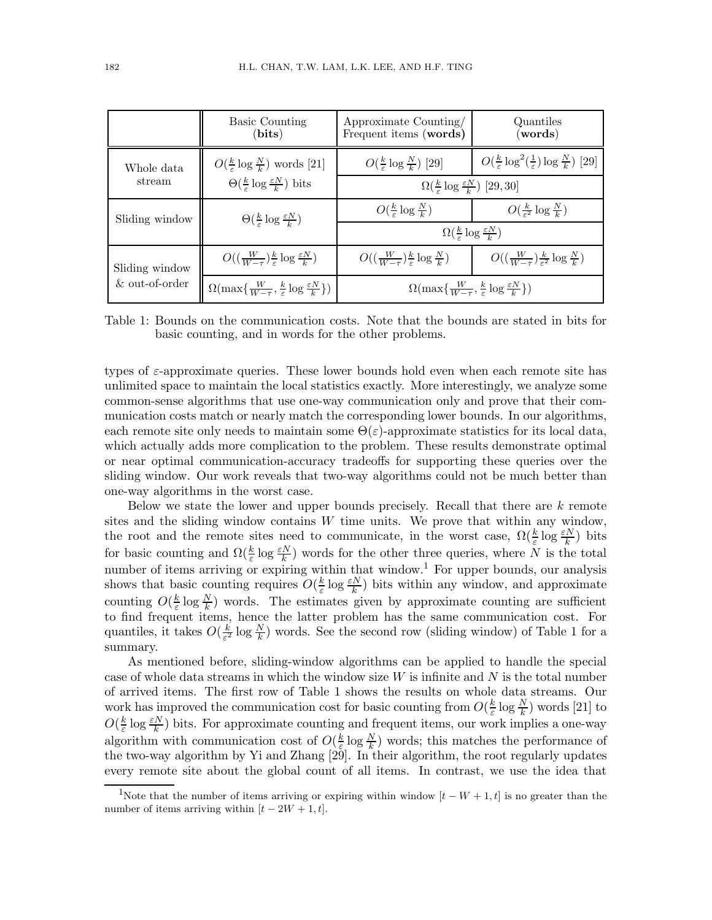|                                  | <b>Basic Counting</b><br>$\mathbf{(bits)}$                                                                                  | Approximate Counting/<br>Frequent items (words)                                     | Quantiles<br>(words)                                                           |
|----------------------------------|-----------------------------------------------------------------------------------------------------------------------------|-------------------------------------------------------------------------------------|--------------------------------------------------------------------------------|
| Whole data<br>stream             | $O(\frac{k}{\varepsilon} \log \frac{N}{k})$ words [21]<br>$\Theta(\frac{k}{\varepsilon} \log \frac{\varepsilon N}{k})$ bits | $O(\frac{k}{\epsilon} \log \frac{N}{k})$ [29]                                       | $O(\frac{k}{\varepsilon} \log^2(\frac{1}{\varepsilon}) \log \frac{N}{k})$ [29] |
|                                  |                                                                                                                             | $\Omega(\frac{k}{\varepsilon} \log \frac{\varepsilon N}{k})$ [29,30]                |                                                                                |
| Sliding window                   | $\Theta(\frac{k}{\varepsilon} \log \frac{\varepsilon N}{k})$                                                                | $O(\frac{k}{\epsilon} \log \frac{N}{k})$                                            | $O(\frac{k}{c^2} \log \frac{N}{k})$                                            |
|                                  |                                                                                                                             | $\Omega(\frac{k}{\varepsilon} \log \frac{\varepsilon N}{k})$                        |                                                                                |
| Sliding window<br>& out-of-order | $O((\frac{W}{W-\tau})^{\frac{k}{s}}\log\frac{\varepsilon N}{k})$                                                            | $O((\frac{W}{W-\tau})^{\frac{k}{s}} \log \frac{N}{k})$                              | $O((\frac{W}{W-\tau})\frac{k}{\epsilon^2}\log \frac{N}{k})$                    |
|                                  | $\Omega(\max\{\frac{W}{W-\tau},\frac{k}{\varepsilon}\log\frac{\varepsilon N}{k}\})$                                         | $\Omega(\max\{\frac{W}{W-\tau},\frac{k}{\varepsilon}\log\frac{\varepsilon N}{k}\})$ |                                                                                |

Table 1: Bounds on the communication costs. Note that the bounds are stated in bits for basic counting, and in words for the other problems.

types of  $\varepsilon$ -approximate queries. These lower bounds hold even when each remote site has unlimited space to maintain the local statistics exactly. More interestingly, we analyze some common-sense algorithms that use one-way communication only and prove that their communication costs match or nearly match the corresponding lower bounds. In our algorithms, each remote site only needs to maintain some  $\Theta(\varepsilon)$ -approximate statistics for its local data, which actually adds more complication to the problem. These results demonstrate optimal or near optimal communication-accuracy tradeoffs for supporting these queries over the sliding window. Our work reveals that two-way algorithms could not be much better than one-way algorithms in the worst case.

Below we state the lower and upper bounds precisely. Recall that there are  $k$  remote sites and the sliding window contains  $W$  time units. We prove that within any window, the root and the remote sites need to communicate, in the worst case,  $\Omega(\frac{k}{\varepsilon} \log \frac{\varepsilon N}{k})$  bits for basic counting and  $\Omega(\frac{k}{\varepsilon}\log\frac{\varepsilon N}{k})$  words for the other three queries, where N is the total number of items arriving or expiring within that window.<sup>1</sup> For upper bounds, our analysis shows that basic counting requires  $O(\frac{k}{\epsilon})$  $\frac{k}{\varepsilon} \log \frac{\varepsilon N}{k}$ ) bits within any window, and approximate counting  $O(\frac{k}{\varepsilon})$  $\frac{k}{\varepsilon}$  log  $\frac{N}{k}$ ) words. The estimates given by approximate counting are sufficient to find frequent items, hence the latter problem has the same communication cost. For quantiles, it takes  $O(\frac{k}{\epsilon^2})$  $\frac{k}{\varepsilon^2}$  log  $\frac{N}{k}$ ) words. See the second row (sliding window) of Table 1 for a summary.

As mentioned before, sliding-window algorithms can be applied to handle the special case of whole data streams in which the window size  $W$  is infinite and  $N$  is the total number of arrived items. The first row of Table 1 shows the results on whole data streams. Our work has improved the communication cost for basic counting from  $O(\frac{k}{\varepsilon})$  $\frac{k}{\varepsilon} \log \frac{N}{k}$ ) words [21] to  $O(\frac{k}{\varepsilon})$  $\frac{k}{\varepsilon}$  log  $\frac{\varepsilon N}{k}$ ) bits. For approximate counting and frequent items, our work implies a one-way algorithm with communication cost of  $O(\frac{k}{\epsilon})$  $\frac{k}{\varepsilon} \log \frac{N}{k}$  words; this matches the performance of the two-way algorithm by Yi and Zhang [29]. In their algorithm, the root regularly updates every remote site about the global count of all items. In contrast, we use the idea that

<sup>&</sup>lt;sup>1</sup>Note that the number of items arriving or expiring within window  $[t - W + 1, t]$  is no greater than the number of items arriving within  $[t - 2W + 1, t]$ .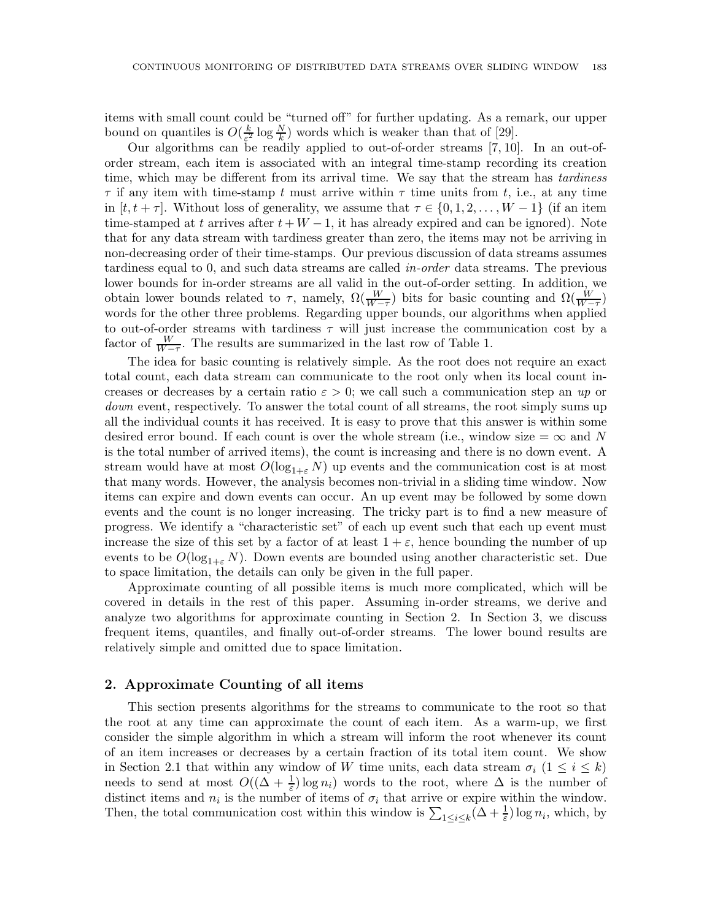items with small count could be "turned off" for further updating. As a remark, our upper bound on quantiles is  $O(\frac{k}{\epsilon^2})$  $\frac{k}{\varepsilon^2} \log \frac{N}{k}$  words which is weaker than that of [29].

Our algorithms can be readily applied to out-of-order streams [7, 10]. In an out-oforder stream, each item is associated with an integral time-stamp recording its creation time, which may be different from its arrival time. We say that the stream has *tardiness*  $\tau$  if any item with time-stamp t must arrive within  $\tau$  time units from t, i.e., at any time in  $[t, t + \tau]$ . Without loss of generality, we assume that  $\tau \in \{0, 1, 2, \ldots, W - 1\}$  (if an item time-stamped at t arrives after  $t + W - 1$ , it has already expired and can be ignored). Note that for any data stream with tardiness greater than zero, the items may not be arriving in non-decreasing order of their time-stamps. Our previous discussion of data streams assumes tardiness equal to 0, and such data streams are called *in-order* data streams. The previous lower bounds for in-order streams are all valid in the out-of-order setting. In addition, we obtain lower bounds related to  $\tau$ , namely,  $\Omega(\frac{W}{W-\tau})$  bits for basic counting and  $\Omega(\frac{W}{W-\tau})$ words for the other three problems. Regarding upper bounds, our algorithms when applied to out-of-order streams with tardiness  $\tau$  will just increase the communication cost by a factor of  $\frac{W}{W-\tau}$ . The results are summarized in the last row of Table 1.

The idea for basic counting is relatively simple. As the root does not require an exact total count, each data stream can communicate to the root only when its local count increases or decreases by a certain ratio  $\varepsilon > 0$ ; we call such a communication step an *up* or *down* event, respectively. To answer the total count of all streams, the root simply sums up all the individual counts it has received. It is easy to prove that this answer is within some desired error bound. If each count is over the whole stream (i.e., window size  $=\infty$  and N is the total number of arrived items), the count is increasing and there is no down event. A stream would have at most  $O(\log_{1+\epsilon} N)$  up events and the communication cost is at most that many words. However, the analysis becomes non-trivial in a sliding time window. Now items can expire and down events can occur. An up event may be followed by some down events and the count is no longer increasing. The tricky part is to find a new measure of progress. We identify a "characteristic set" of each up event such that each up event must increase the size of this set by a factor of at least  $1 + \varepsilon$ , hence bounding the number of up events to be  $O(\log_{1+\varepsilon} N)$ . Down events are bounded using another characteristic set. Due to space limitation, the details can only be given in the full paper.

Approximate counting of all possible items is much more complicated, which will be covered in details in the rest of this paper. Assuming in-order streams, we derive and analyze two algorithms for approximate counting in Section 2. In Section 3, we discuss frequent items, quantiles, and finally out-of-order streams. The lower bound results are relatively simple and omitted due to space limitation.

#### 2. Approximate Counting of all items

This section presents algorithms for the streams to communicate to the root so that the root at any time can approximate the count of each item. As a warm-up, we first consider the simple algorithm in which a stream will inform the root whenever its count of an item increases or decreases by a certain fraction of its total item count. We show in Section 2.1 that within any window of W time units, each data stream  $\sigma_i$  (1  $\leq i \leq k$ ) needs to send at most  $O((\Delta + \frac{1}{\varepsilon}) \log n_i)$  words to the root, where  $\Delta$  is the number of distinct items and  $n_i$  is the number of items of  $\sigma_i$  that arrive or expire within the window. Then, the total communication cost within this window is  $\sum_{1 \leq i \leq k} (\Delta + \frac{1}{\varepsilon}) \log n_i$ , which, by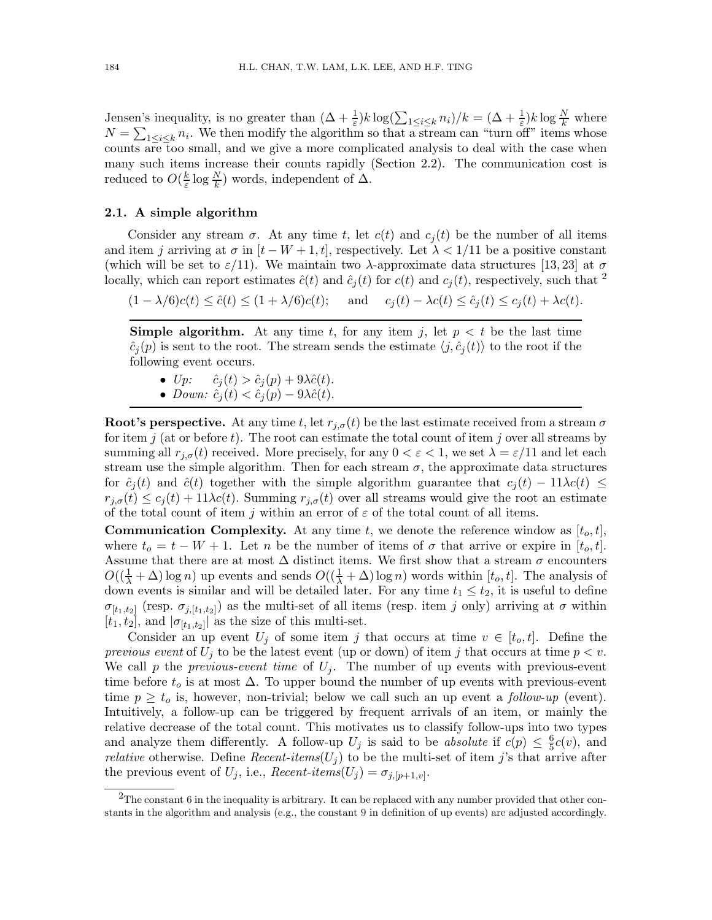Jensen's inequality, is no greater than  $(\Delta + \frac{1}{\varepsilon})k \log(\sum_{1 \leq i \leq k} n_i)/k = (\Delta + \frac{1}{\varepsilon})k \log \frac{N}{k}$  where  $N = \sum_{1 \leq i \leq k} n_i$ . We then modify the algorithm so that a stream can "turn off" items whose counts are too small, and we give a more complicated analysis to deal with the case when many such items increase their counts rapidly (Section 2.2). The communication cost is reduced to  $O(\frac{k}{\varepsilon})$  $\frac{k}{\varepsilon} \log \frac{N}{k}$  words, independent of  $\Delta$ .

#### 2.1. A simple algorithm

Consider any stream  $\sigma$ . At any time t, let  $c(t)$  and  $c_i(t)$  be the number of all items and item j arriving at  $\sigma$  in  $[t - W + 1, t]$ , respectively. Let  $\lambda < 1/11$  be a positive constant (which will be set to  $\varepsilon/11$ ). We maintain two  $\lambda$ -approximate data structures [13, 23] at  $\sigma$ locally, which can report estimates  $\hat{c}(t)$  and  $\hat{c}_i(t)$  for  $c(t)$  and  $c_i(t)$ , respectively, such that <sup>2</sup>

 $(1 - \lambda/6)c(t) \leq \hat{c}(t) \leq (1 + \lambda/6)c(t);$  and  $c_i(t) - \lambda c(t) \leq \hat{c}_i(t) \leq c_i(t) + \lambda c(t).$ 

**Simple algorithm.** At any time t, for any item j, let  $p < t$  be the last time  $\hat{c}_i(p)$  is sent to the root. The stream sends the estimate  $\langle j, \hat{c}_i(t) \rangle$  to the root if the following event occurs.

- $Up: \hat{c}_j(t) > \hat{c}_j(p) + 9\lambda \hat{c}(t).$
- *Down:*  $\hat{c}_j(t) < \hat{c}_j(p) 9\lambda \hat{c}(t)$ .

**Root's perspective.** At any time t, let  $r_{i,\sigma}(t)$  be the last estimate received from a stream  $\sigma$ for item j (at or before t). The root can estimate the total count of item j over all streams by summing all  $r_{i,\sigma}(t)$  received. More precisely, for any  $0 < \varepsilon < 1$ , we set  $\lambda = \varepsilon/11$  and let each stream use the simple algorithm. Then for each stream  $\sigma$ , the approximate data structures for  $\hat{c}_j(t)$  and  $\hat{c}(t)$  together with the simple algorithm guarantee that  $c_j(t) - 11\lambda c(t) \leq$  $r_{i,\sigma}(t) \leq c_i(t) + 11\lambda c(t)$ . Summing  $r_{i,\sigma}(t)$  over all streams would give the root an estimate of the total count of item j within an error of  $\varepsilon$  of the total count of all items.

**Communication Complexity.** At any time t, we denote the reference window as  $[t_o, t]$ , where  $t_o = t - W + 1$ . Let n be the number of items of  $\sigma$  that arrive or expire in  $[t_o, t]$ . Assume that there are at most  $\Delta$  distinct items. We first show that a stream  $\sigma$  encounters  $O((\frac{1}{\lambda} + \Delta) \log n)$  up events and sends  $O((\frac{1}{\lambda} + \Delta) \log n)$  words within  $[t_o, t]$ . The analysis of down events is similar and will be detailed later. For any time  $t_1 \leq t_2$ , it is useful to define  $\sigma_{[t_1,t_2]}$  (resp.  $\sigma_{j,[t_1,t_2]}$ ) as the multi-set of all items (resp. item j only) arriving at  $\sigma$  within  $[t_1, t_2]$ , and  $|\sigma_{[t_1, t_2]}|$  as the size of this multi-set.

Consider an up event  $U_j$  of some item j that occurs at time  $v \in [t_o, t]$ . Define the *previous event* of  $U_i$  to be the latest event (up or down) of item j that occurs at time  $p < v$ . We call  $p$  the *previous-event time* of  $U_j$ . The number of up events with previous-event time before  $t_o$  is at most  $\Delta$ . To upper bound the number of up events with previous-event time  $p \geq t_o$  is, however, non-trivial; below we call such an up event a *follow-up* (event). Intuitively, a follow-up can be triggered by frequent arrivals of an item, or mainly the relative decrease of the total count. This motivates us to classify follow-ups into two types and analyze them differently. A follow-up  $U_j$  is said to be *absolute* if  $c(p) \leq \frac{6}{5}$  $\frac{6}{5}c(v)$ , and *relative* otherwise. Define *Recent-items*( $U_j$ ) to be the multi-set of item j's that arrive after the previous event of  $U_j$ , i.e.,  $Recent\text{-}items(U_j) = \sigma_{j,[p+1,v]}$ .

 $2$ The constant 6 in the inequality is arbitrary. It can be replaced with any number provided that other constants in the algorithm and analysis (e.g., the constant 9 in definition of up events) are adjusted accordingly.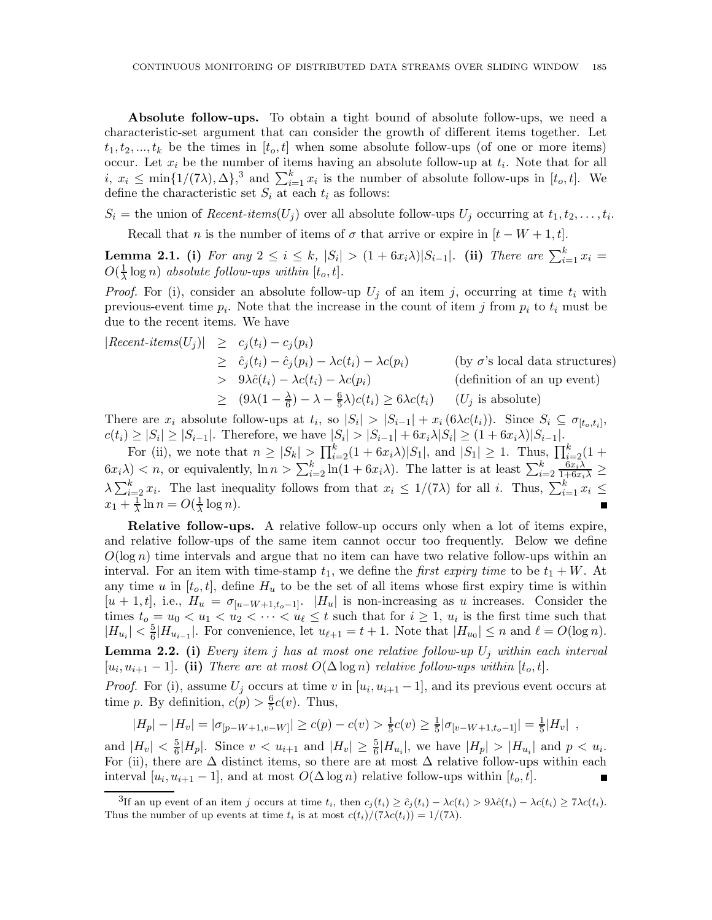Absolute follow-ups. To obtain a tight bound of absolute follow-ups, we need a characteristic-set argument that can consider the growth of different items together. Let  $t_1, t_2, ..., t_k$  be the times in  $[t_o, t]$  when some absolute follow-ups (of one or more items) occur. Let  $x_i$  be the number of items having an absolute follow-up at  $t_i$ . Note that for all  $i, x_i \leq \min\{1/(7\lambda), \Delta\},^3$  and  $\sum_{i=1}^k x_i$  is the number of absolute follow-ups in  $[t_o, t]$ . We define the characteristic set  $S_i$  at each  $t_i$  as follows:

 $S_i =$  the union of *Recent-items*( $U_j$ ) over all absolute follow-ups  $U_j$  occurring at  $t_1, t_2, \ldots, t_i$ .

Recall that *n* is the number of items of  $\sigma$  that arrive or expire in  $[t - W + 1, t]$ .

**Lemma 2.1.** (i) For any  $2 \le i \le k$ ,  $|S_i| > (1 + 6x_i\lambda)|S_{i-1}|$ . (ii) There are  $\sum_{i=1}^{k} x_i =$  $O(\frac{1}{\lambda} \log n)$  *absolute follow-ups within*  $[t_o, t]$ *.* 

*Proof.* For (i), consider an absolute follow-up  $U_j$  of an item j, occurring at time  $t_i$  with previous-event time  $p_i$ . Note that the increase in the count of item j from  $p_i$  to  $t_i$  must be due to the recent items. We have

$$
|Recent-items(U_j)| \ge c_j(t_i) - c_j(p_i)
$$
  
\n
$$
\ge \hat{c}_j(t_i) - \hat{c}_j(p_i) - \lambda c(t_i) - \lambda c(p_i)
$$
 (by  $\sigma$ 's local data structures)  
\n
$$
> 9\lambda \hat{c}(t_i) - \lambda c(t_i) - \lambda c(p_i)
$$
 (definition of an up event)  
\n
$$
\ge (9\lambda(1 - \frac{\lambda}{6}) - \lambda - \frac{6}{5}\lambda)c(t_i) \ge 6\lambda c(t_i)
$$
 (U<sub>j</sub> is absolute)

There are  $x_i$  absolute follow-ups at  $t_i$ , so  $|S_i| > |S_{i-1}| + x_i (6\lambda c(t_i))$ . Since  $S_i \subseteq \sigma_{[t_o,t_i]}$ ,  $c(t_i) \ge |S_i| \ge |S_{i-1}|$ . Therefore, we have  $|S_i| > |S_{i-1}| + 6x_i\lambda |S_i| \ge (1 + 6x_i\lambda)|S_{i-1}|$ .

For (ii), we note that  $n \geq |S_k| > \prod_{i=2}^k (1 + 6x_i \lambda)|S_1|$ , and  $|S_1| \geq 1$ . Thus,  $\prod_{i=2}^k (1 +$  $(6x_i\lambda) < n$ , or equivalently,  $\ln n > \sum_{i=2}^k \ln(1+6x_i\lambda)$ . The latter is at least  $\sum_{i=2}^k \frac{6x_i\lambda}{1+6x_i\lambda} \ge$  $\lambda \sum_{i=2}^k x_i$ . The last inequality follows from that  $x_i \leq 1/(7\lambda)$  for all i. Thus,  $\sum_{i=1}^k x_i \leq$  $x_1 + \frac{1}{\lambda} \ln n = O(\frac{1}{\lambda} \log n).$ 

Relative follow-ups. A relative follow-up occurs only when a lot of items expire, and relative follow-ups of the same item cannot occur too frequently. Below we define  $O(\log n)$  time intervals and argue that no item can have two relative follow-ups within an interval. For an item with time-stamp  $t_1$ , we define the *first expiry time* to be  $t_1 + W$ . At any time u in  $[t_o, t]$ , define  $H_u$  to be the set of all items whose first expiry time is within  $[u + 1, t]$ , i.e.,  $H_u = \sigma_{[u-W+1,t_0-1]}$ .  $|H_u|$  is non-increasing as u increases. Consider the times  $t_o = u_0 < u_1 < u_2 < \cdots < u_\ell \leq t$  such that for  $i \geq 1$ ,  $u_i$  is the first time such that  $|H_{u_i}| < \frac{5}{6}|H_{u_{i-1}}|$ . For convenience, let  $u_{\ell+1} = t+1$ . Note that  $|H_{u_0}| \leq n$  and  $\ell = O(\log n)$ . Lemma 2.2. (i) *Every item* j *has at most one relative follow-up* U<sup>j</sup> *within each interval*  $[u_i, u_{i+1} - 1]$ . (ii) There are at most  $O(\Delta \log n)$  relative follow-ups within  $[t_o, t]$ .

*Proof.* For (i), assume  $U_j$  occurs at time v in  $[u_i, u_{i+1} - 1]$ , and its previous event occurs at time p. By definition,  $c(p) > \frac{6}{5}$  $\frac{6}{5}c(v)$ . Thus,

$$
|H_p| - |H_v| = |\sigma_{[p-W+1,v-W]}| \ge c(p) - c(v) > \frac{1}{5}c(v) \ge \frac{1}{5}|\sigma_{[v-W+1,t_o-1]}| = \frac{1}{5}|H_v|,
$$

and  $|H_v| < \frac{5}{6}$  $\frac{5}{6}|H_p|$ . Since  $v < u_{i+1}$  and  $|H_v| \ge \frac{5}{6}|H_{u_i}|$ , we have  $|H_p| > |H_{u_i}|$  and  $p < u_i$ . For (ii), there are  $\Delta$  distinct items, so there are at most  $\Delta$  relative follow-ups within each interval  $[u_i, u_{i+1} - 1]$ , and at most  $O(\Delta \log n)$  relative follow-ups within  $[t_o, t]$ .

<sup>&</sup>lt;sup>3</sup>If an up event of an item j occurs at time  $t_i$ , then  $c_j(t_i) \geq \hat{c}_j(t_i) - \lambda c(t_i) > 9\lambda \hat{c}(t_i) - \lambda c(t_i) \geq 7\lambda c(t_i)$ . Thus the number of up events at time  $t_i$  is at most  $c(t_i)/(7\lambda c(t_i)) = 1/(7\lambda)$ .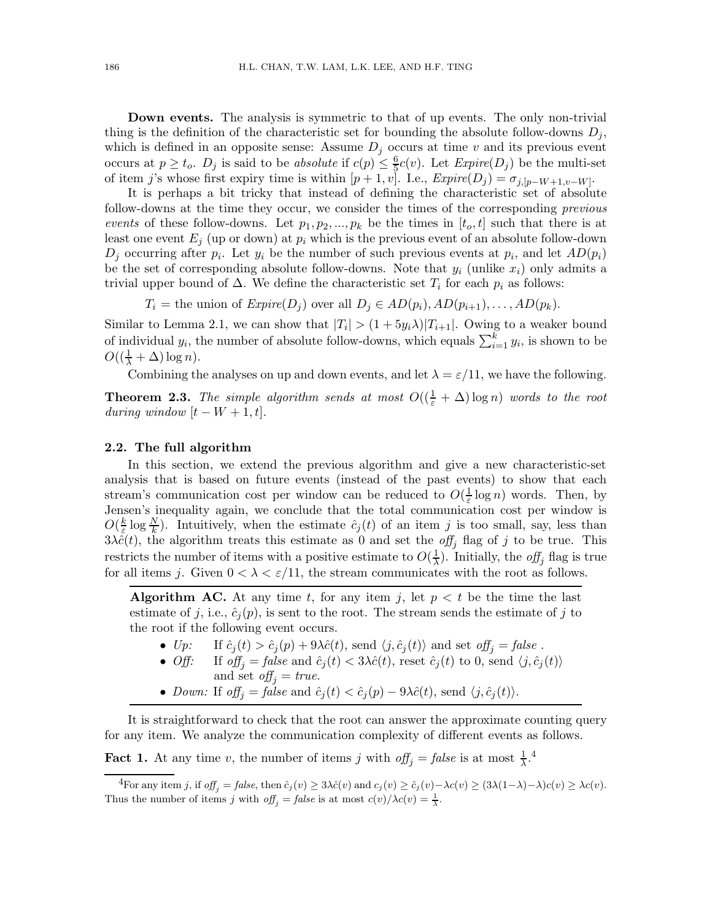Down events. The analysis is symmetric to that of up events. The only non-trivial thing is the definition of the characteristic set for bounding the absolute follow-downs  $D_i$ , which is defined in an opposite sense: Assume  $D_i$  occurs at time v and its previous event occurs at  $p \ge t_o$ .  $D_j$  is said to be *absolute* if  $c(p) \le \frac{6}{5}$  $\frac{6}{5}c(v)$ . Let  $\text{Expire}(D_j)$  be the multi-set of item j's whose first expiry time is within  $[p + 1, v]$ . I.e.,  $\text{Expire}(D_j) = \sigma_{j, [p-W+1, v-W]}$ .

It is perhaps a bit tricky that instead of defining the characteristic set of absolute follow-downs at the time they occur, we consider the times of the corresponding *previous events* of these follow-downs. Let  $p_1, p_2, ..., p_k$  be the times in  $[t_o, t]$  such that there is at least one event  $E_j$  (up or down) at  $p_i$  which is the previous event of an absolute follow-down  $D_j$  occurring after  $p_i$ . Let  $y_i$  be the number of such previous events at  $p_i$ , and let  $AD(p_i)$ be the set of corresponding absolute follow-downs. Note that  $y_i$  (unlike  $x_i$ ) only admits a trivial upper bound of  $\Delta$ . We define the characteristic set  $T_i$  for each  $p_i$  as follows:

 $T_i =$  the union of  $Expire(D_j)$  over all  $D_j \in AD(p_i), AD(p_{i+1}), \ldots, AD(p_k)$ .

Similar to Lemma 2.1, we can show that  $|T_i| > (1+5y_i\lambda)|T_{i+1}|$ . Owing to a weaker bound of individual  $y_i$ , the number of absolute follow-downs, which equals  $\sum_{i=1}^{k} y_i$ , is shown to be  $O((\frac{1}{\lambda} + \Delta) \log n).$ 

Combining the analyses on up and down events, and let  $\lambda = \varepsilon/11$ , we have the following.

**Theorem 2.3.** *The simple algorithm sends at most*  $O((\frac{1}{\varepsilon} + \Delta) \log n)$  *words to the root during window*  $[t - W + 1, t]$ .

#### 2.2. The full algorithm

In this section, we extend the previous algorithm and give a new characteristic-set analysis that is based on future events (instead of the past events) to show that each stream's communication cost per window can be reduced to  $O(\frac{1}{\varepsilon} \log n)$  words. Then, by Jensen's inequality again, we conclude that the total communication cost per window is  $O(\frac{k}{\varepsilon})$  $\frac{k}{\varepsilon} \log \frac{N}{k}$ . Intuitively, when the estimate  $\hat{c}_j(t)$  of an item j is too small, say, less than  $3\lambda \hat{c}(t)$ , the algorithm treats this estimate as 0 and set the *off<sub>j</sub>* flag of j to be true. This restricts the number of items with a positive estimate to  $O(\frac{1}{\lambda})$ . Initially, the *off<sub>j</sub>* flag is true for all items j. Given  $0 < \lambda < \varepsilon/11$ , the stream communicates with the root as follows.

**Algorithm AC.** At any time t, for any item j, let  $p < t$  be the time the last estimate of j, i.e.,  $\hat{c}_j(p)$ , is sent to the root. The stream sends the estimate of j to the root if the following event occurs.

- *Up:* If  $\hat{c}_j(t) > \hat{c}_j(p) + 9\lambda \hat{c}(t)$ , send  $\langle j, \hat{c}_j(t) \rangle$  and set  $\text{off}_j = \text{false}$ .<br>
*Off:* If  $\text{off}_i = \text{false}$  and  $\hat{c}_i(t) < 3\lambda \hat{c}(t)$ , reset  $\hat{c}_i(t)$  to 0, send  $\langle j, \hat{c}_j \rangle$
- If  $off_j = false$  and  $\hat{c}_j(t) < 3\lambda \hat{c}(t)$ , reset  $\hat{c}_j(t)$  to 0, send  $\langle j, \hat{c}_j(t) \rangle$ 
	- and set  $off_j = true$ .
- *Down:* If  $off_j = false$  and  $\hat{c}_j(t) < \hat{c}_j(p) 9\lambda \hat{c}(t)$ , send  $\langle j, \hat{c}_j(t) \rangle$ .

It is straightforward to check that the root can answer the approximate counting query for any item. We analyze the communication complexity of different events as follows.

**Fact 1.** At any time v, the number of items j with  $off_j = false$  is at most  $\frac{1}{\lambda}$ .<sup>4</sup>

<sup>&</sup>lt;sup>4</sup>For any item j, if  $off_i = false$ , then  $\hat{c}_j(v) \geq 3\lambda \hat{c}(v)$  and  $c_j(v) \geq \hat{c}_j(v) - \lambda c(v) \geq (3\lambda(1-\lambda)-\lambda)c(v) \geq \lambda c(v)$ . Thus the number of items j with  $off_j = false$  is at most  $c(v)/\lambda c(v) = \frac{1}{\lambda}$ .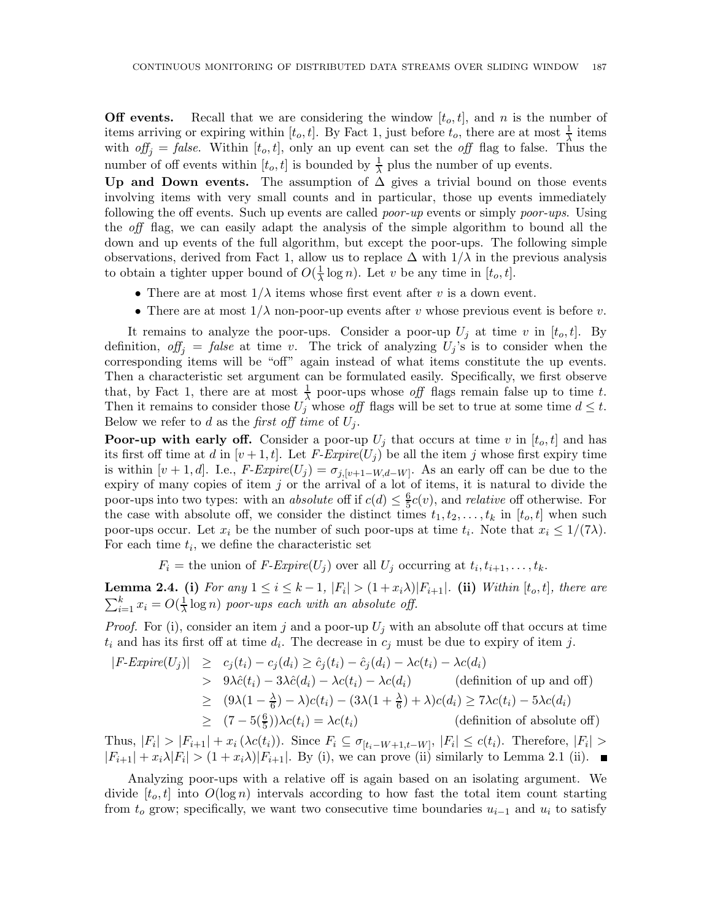**Off events.** Recall that we are considering the window  $[t_o, t]$ , and n is the number of items arriving or expiring within  $[t_o, t]$ . By Fact 1, just before  $t_o$ , there are at most  $\frac{1}{\lambda}$  items with  $\partial f_i = false$ . Within  $[t_o, t]$ , only an up event can set the *off* flag to false. Thus the number of off events within  $[t_o, t]$  is bounded by  $\frac{1}{\lambda}$  plus the number of up events.

Up and Down events. The assumption of  $\Delta$  gives a trivial bound on those events involving items with very small counts and in particular, those up events immediately following the off events. Such up events are called *poor-up* events or simply *poor-ups*. Using the *off* flag, we can easily adapt the analysis of the simple algorithm to bound all the down and up events of the full algorithm, but except the poor-ups. The following simple observations, derived from Fact 1, allow us to replace  $\Delta$  with  $1/\lambda$  in the previous analysis to obtain a tighter upper bound of  $O(\frac{1}{\lambda}\log n)$ . Let v be any time in  $[t_o, t]$ .

- There are at most  $1/\lambda$  items whose first event after v is a down event.
- There are at most  $1/\lambda$  non-poor-up events after v whose previous event is before v.

It remains to analyze the poor-ups. Consider a poor-up  $U_i$  at time v in  $[t_o, t]$ . By definition,  $\partial f_j = false$  at time v. The trick of analyzing  $U_j$ 's is to consider when the corresponding items will be "off" again instead of what items constitute the up events. Then a characteristic set argument can be formulated easily. Specifically, we first observe that, by Fact 1, there are at most  $\frac{1}{\lambda}$  poor-ups whose *off* flags remain false up to time t. Then it remains to consider those  $U_j$  whose off flags will be set to true at some time  $d \leq t$ . Below we refer to d as the *first off time* of  $U_i$ .

**Poor-up with early off.** Consider a poor-up  $U_i$  that occurs at time v in  $[t_o, t]$  and has its first off time at d in  $[v+1, t]$ . Let F-Expire $(U_i)$  be all the item j whose first expiry time is within  $[v + 1, d]$ . I.e.,  $F$ - $Expire(U_j) = \sigma_{j,[v+1-W,d-W]}$ . As an early off can be due to the expiry of many copies of item  $j$  or the arrival of a lot of items, it is natural to divide the poor-ups into two types: with an *absolute* off if  $c(d) \leq \frac{6}{5}$  $\frac{6}{5}c(v)$ , and *relative* off otherwise. For the case with absolute off, we consider the distinct times  $t_1, t_2, \ldots, t_k$  in  $[t_o, t]$  when such poor-ups occur. Let  $x_i$  be the number of such poor-ups at time  $t_i$ . Note that  $x_i \leq 1/(7\lambda)$ . For each time  $t_i$ , we define the characteristic set

 $F_i =$  the union of *F-Expire*( $U_j$ ) over all  $U_j$  occurring at  $t_i, t_{i+1}, \ldots, t_k$ .

**Lemma 2.4.** (i) For any  $1 \le i \le k-1$ ,  $|F_i| > (1+x_i\lambda)|F_{i+1}|$ . (ii) *Within* [t<sub>o</sub>, t], there are  $\sum_{i=1}^{k} x_i = O(\frac{1}{\lambda} \log n)$  *poor-ups each with an absolute off.* 

*Proof.* For (i), consider an item j and a poor-up  $U_j$  with an absolute off that occurs at time  $t_i$  and has its first off at time  $d_i$ . The decrease in  $c_j$  must be due to expiry of item j.

$$
|F\text{-}Expire(U_j)| \ge c_j(t_i) - c_j(d_i) \ge \hat{c}_j(t_i) - \hat{c}_j(d_i) - \lambda c(t_i) - \lambda c(d_i)
$$
  
>  $9\lambda \hat{c}(t_i) - 3\lambda \hat{c}(d_i) - \lambda c(t_i) - \lambda c(d_i)$  (definition of up and off)  
 $\ge (9\lambda(1 - \frac{\lambda}{6}) - \lambda)c(t_i) - (3\lambda(1 + \frac{\lambda}{6}) + \lambda)c(d_i) \ge 7\lambda c(t_i) - 5\lambda c(d_i)$   
 $\ge (7 - 5(\frac{6}{5}))\lambda c(t_i) = \lambda c(t_i)$  (definition of absolute off)

Thus,  $|F_i| > |F_{i+1}| + x_i (\lambda c(t_i))$ . Since  $F_i \subseteq \sigma_{[t_i-W+1,t-W]}$ ,  $|F_i| \le c(t_i)$ . Therefore,  $|F_i| >$  $|F_{i+1}| + x_i \lambda |F_i| > (1 + x_i \lambda) |F_{i+1}|$ . By (i), we can prove (ii) similarly to Lemma 2.1 (ii).

Analyzing poor-ups with a relative off is again based on an isolating argument. We divide  $[t_o, t]$  into  $O(\log n)$  intervals according to how fast the total item count starting from  $t_o$  grow; specifically, we want two consecutive time boundaries  $u_{i-1}$  and  $u_i$  to satisfy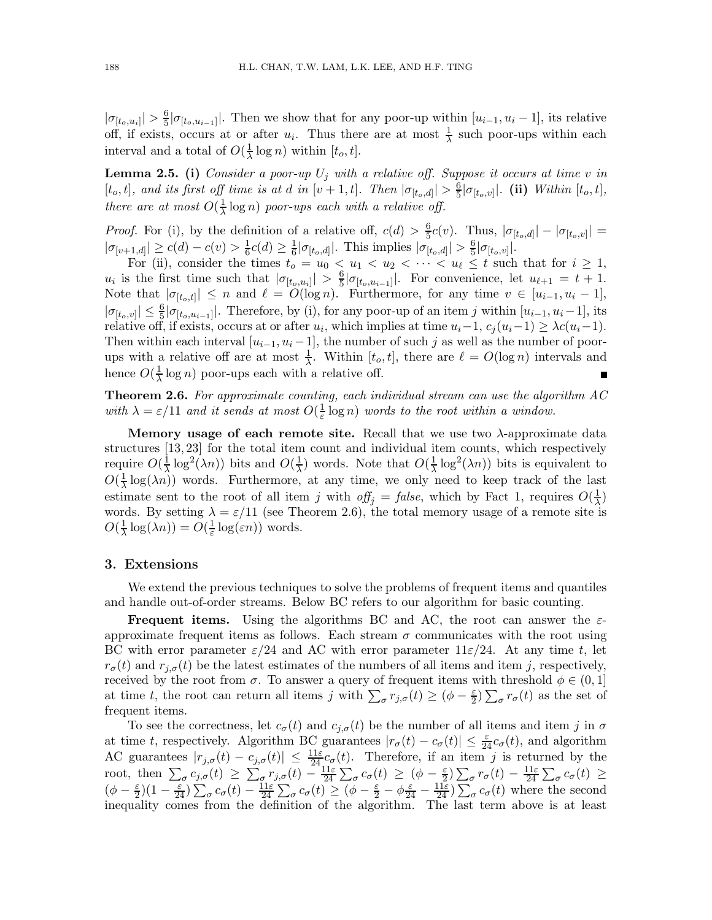$|\sigma_{[t_o, u_i]}| > \frac{6}{5}$  $\frac{6}{5}|\sigma_{[t_o,u_{i-1}]}|$ . Then we show that for any poor-up within  $[u_{i-1},u_i-1]$ , its relative off, if exists, occurs at or after  $u_i$ . Thus there are at most  $\frac{1}{\lambda}$  such poor-ups within each interval and a total of  $O(\frac{1}{\lambda} \log n)$  within  $[t_o, t]$ .

**Lemma 2.5.** (i) *Consider a poor-up*  $U_j$  *with a relative off. Suppose it occurs at time v in*  $[t_o, t]$ , and its first off time is at d in  $[v + 1, t]$ . Then  $|\sigma_{[t_o,d]}| > \frac{6}{5}$  $\frac{6}{5}|\sigma_{[t_o,v]}|$ . (ii) *Within*  $[t_o, t]$ *, there are at most*  $O(\frac{1}{\lambda} \log n)$  *poor-ups each with a relative off.* 

*Proof.* For (i), by the definition of a relative off,  $c(d) > \frac{6}{5}$  $\frac{6}{5}c(v)$ . Thus,  $|\sigma_{[t_o,d]}| - |\sigma_{[t_o,v]}| =$  $|\sigma_{[v+1,d]}| \ge c(d) - c(v) > \frac{1}{6}$  $\frac{1}{6}c(d) \geq \frac{1}{6}$  $\frac{1}{6}|\sigma_{[t_o,d]}|.$  This implies  $|\sigma_{[t_o,d]}| > \frac{6}{5}$  $\frac{6}{5}|\sigma_{[t_o,v]}|.$ 

For (ii), consider the times  $t_o = u_0 < u_1 < u_2 < \cdots < u_\ell \leq t$  such that for  $i \geq 1$ ,  $u_i$  is the first time such that  $|\sigma_{[t_o,u_i]}| > \frac{6}{5}$  $\frac{6}{5}|\sigma_{[t_o, u_{i-1}]}|$ . For convenience, let  $u_{\ell+1} = t + 1$ . Note that  $|\sigma_{[t_o,t]}| \leq n$  and  $\ell = O(\log n)$ . Furthermore, for any time  $v \in [u_{i-1}, u_i - 1]$ ,  $|\sigma_{[t_o,v]}| \leq \frac{6}{5} |\sigma_{[t_o,u_{i-1}]}|$ . Therefore, by (i), for any poor-up of an item j within  $[u_{i-1}, u_i-1]$ , its relative off, if exists, occurs at or after  $u_i$ , which implies at time  $u_i-1$ ,  $c_j(u_i-1) \geq \lambda c(u_i-1)$ . Then within each interval  $[u_{i-1}, u_i - 1]$ , the number of such j as well as the number of poorups with a relative off are at most  $\frac{1}{\lambda}$ . Within  $[t_o, t]$ , there are  $\ell = O(\log n)$  intervals and hence  $O(\frac{1}{\lambda} \log n)$  poor-ups each with a relative off.

Theorem 2.6. *For approximate counting, each individual stream can use the algorithm AC* with  $\lambda = \varepsilon/11$  and it sends at most  $O(\frac{1}{\varepsilon} \log n)$  words to the root within a window.

Memory usage of each remote site. Recall that we use two  $\lambda$ -approximate data structures [13, 23] for the total item count and individual item counts, which respectively require  $O(\frac{1}{\lambda} \log^2(\lambda n))$  bits and  $O(\frac{1}{\lambda})$  words. Note that  $O(\frac{1}{\lambda} \log^2(\lambda n))$  bits is equivalent to  $O(\frac{1}{\lambda}\log(\lambda n))$  words. Furthermore, at any time, we only need to keep track of the last estimate sent to the root of all item j with  $\textit{off}_j = \textit{false}$ , which by Fact 1, requires  $O(\frac{1}{\lambda})$ words. By setting  $\lambda = \varepsilon/11$  (see Theorem 2.6), the total memory usage of a remote site is  $O(\frac{1}{\lambda}\log(\lambda n)) = O(\frac{1}{\varepsilon}\log(\varepsilon n))$  words.

#### 3. Extensions

We extend the previous techniques to solve the problems of frequent items and quantiles and handle out-of-order streams. Below BC refers to our algorithm for basic counting.

**Frequent items.** Using the algorithms BC and AC, the root can answer the  $\varepsilon$ approximate frequent items as follows. Each stream  $\sigma$  communicates with the root using BC with error parameter  $\varepsilon/24$  and AC with error parameter  $11\varepsilon/24$ . At any time t, let  $r_{\sigma}(t)$  and  $r_{i,\sigma}(t)$  be the latest estimates of the numbers of all items and item j, respectively, received by the root from  $\sigma$ . To answer a query of frequent items with threshold  $\phi \in (0,1]$ at time t, the root can return all items j with  $\sum_{\sigma} r_{j,\sigma}(t) \geq (\phi - \frac{\varepsilon}{2})$  $\frac{\varepsilon}{2}$ )  $\sum_{\sigma} r_{\sigma}(t)$  as the set of frequent items.

To see the correctness, let  $c_{\sigma}(t)$  and  $c_{j,\sigma}(t)$  be the number of all items and item j in  $\sigma$ at time t, respectively. Algorithm BC guarantees  $|r_{\sigma}(t) - c_{\sigma}(t)| \leq \frac{\varepsilon}{24} c_{\sigma}(t)$ , and algorithm AC guarantees  $|r_{j,\sigma}(t) - c_{j,\sigma}(t)| \leq \frac{11\varepsilon}{24} c_{\sigma}(t)$ . Therefore, if an item j is returned by the root, then  $\sum_{\sigma} c_{j,\sigma}(t) \geq \sum_{\sigma} r_{j,\sigma}(t) - \frac{11\varepsilon}{24}$  $rac{11\varepsilon}{24} \sum_{\sigma} c_{\sigma}(t) \geq (\phi - \frac{\varepsilon}{2})$  $(\frac{\varepsilon}{2})\sum_{\sigma} r_{\sigma}(t) - \frac{11\varepsilon}{24}$  $rac{11\varepsilon}{24} \sum_{\sigma} c_{\sigma}(t) \geq$  $(\phi - \frac{\varepsilon}{2})(1 - \frac{\varepsilon}{24})\sum_{\sigma} c_{\sigma}(t) - \frac{11\varepsilon}{24} \sum_{\sigma} c_{\sigma}(t) \geq (\phi - \frac{\varepsilon}{2} - \phi \frac{\varepsilon}{24} - \frac{11\varepsilon}{24}) \sum_{\sigma} c_{\sigma}(t)$  where the second inequality comes from the definition of the algorithm. The last term above is at least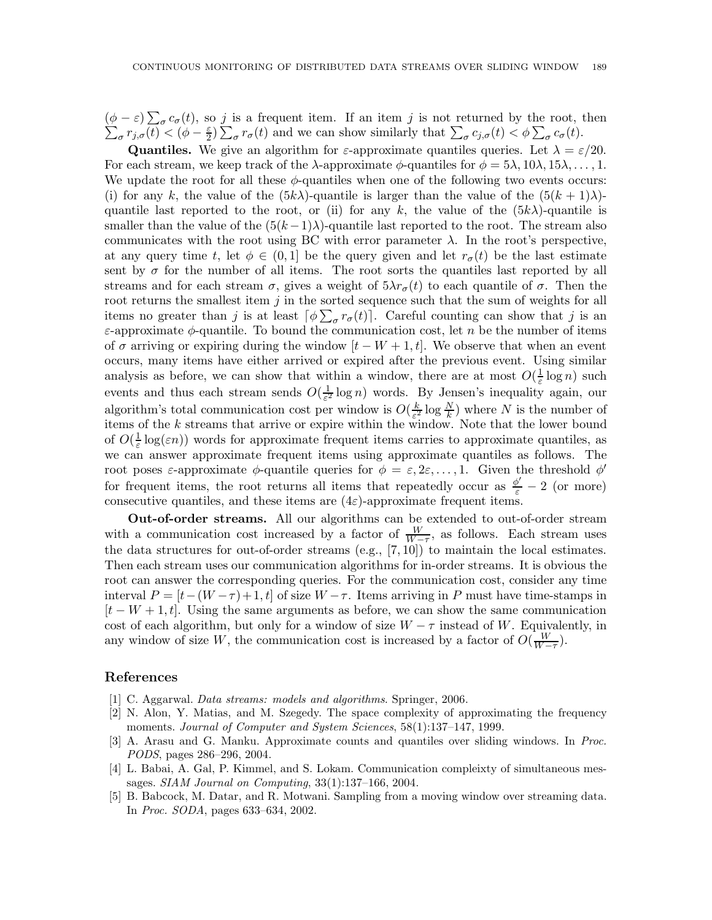$(\phi - \varepsilon) \sum_{\sigma} c_{\sigma}(t)$ , so j is a frequent item. If an item j is not returned by the root, then  $(\varphi - \varepsilon) \sum_{\sigma} c_{\sigma}(t)$ , so *f* is a nequent nem. If an nem *f* is not returned by the root,  $\sum_{\sigma} c_{j,\sigma}(t) < (\phi - \frac{\varepsilon}{2}) \sum_{\sigma} r_{\sigma}(t)$  and we can show similarly that  $\sum_{\sigma} c_{j,\sigma}(t) < \phi \sum_{\sigma} c_{\sigma}(t)$ .

**Quantiles.** We give an algorithm for  $\varepsilon$ -approximate quantiles queries. Let  $\lambda = \varepsilon/20$ . For each stream, we keep track of the  $\lambda$ -approximate  $\phi$ -quantiles for  $\phi = 5\lambda, 10\lambda, 15\lambda, \dots, 1$ . We update the root for all these  $\phi$ -quantiles when one of the following two events occurs: (i) for any k, the value of the  $(5k\lambda)$ -quantile is larger than the value of the  $(5(k+1)\lambda)$ quantile last reported to the root, or (ii) for any k, the value of the  $(5k\lambda)$ -quantile is smaller than the value of the  $(5(k-1)\lambda)$ -quantile last reported to the root. The stream also communicates with the root using BC with error parameter  $\lambda$ . In the root's perspective, at any query time t, let  $\phi \in (0,1]$  be the query given and let  $r_{\sigma}(t)$  be the last estimate sent by  $\sigma$  for the number of all items. The root sorts the quantiles last reported by all streams and for each stream  $\sigma$ , gives a weight of  $5\lambda r_{\sigma}(t)$  to each quantile of  $\sigma$ . Then the root returns the smallest item  $j$  in the sorted sequence such that the sum of weights for all items no greater than j is at least  $\lceil \phi \sum_{\sigma} r_{\sigma}(t) \rceil$ . Careful counting can show that j is an  $\varepsilon$ -approximate  $\phi$ -quantile. To bound the communication cost, let n be the number of items of  $\sigma$  arriving or expiring during the window  $[t - W + 1, t]$ . We observe that when an event occurs, many items have either arrived or expired after the previous event. Using similar analysis as before, we can show that within a window, there are at most  $O(\frac{1}{\varepsilon} \log n)$  such events and thus each stream sends  $O(\frac{1}{\epsilon^2})$  $\frac{1}{\varepsilon^2}$  log n) words. By Jensen's inequality again, our algorithm's total communication cost per window is  $O(\frac{k}{\epsilon^2})$  $\frac{k}{\varepsilon^2} \log \frac{N}{k}$ ) where N is the number of items of the k streams that arrive or expire within the window. Note that the lower bound of  $O(\frac{1}{\varepsilon} \log(\varepsilon n))$  words for approximate frequent items carries to approximate quantiles, as we can answer approximate frequent items using approximate quantiles as follows. The root poses  $\varepsilon$ -approximate  $\phi$ -quantile queries for  $\phi = \varepsilon, 2\varepsilon, \ldots, 1$ . Given the threshold  $\phi'$ for frequent items, the root returns all items that repeatedly occur as  $\frac{\phi'}{\varepsilon} - 2$  (or more) consecutive quantiles, and these items are  $(4\varepsilon)$ -approximate frequent items.

Out-of-order streams. All our algorithms can be extended to out-of-order stream with a communication cost increased by a factor of  $\frac{W}{W-\tau}$ , as follows. Each stream uses the data structures for out-of-order streams (e.g., [7, 10]) to maintain the local estimates. Then each stream uses our communication algorithms for in-order streams. It is obvious the root can answer the corresponding queries. For the communication cost, consider any time interval  $P = [t-(W-\tau)+1, t]$  of size  $W-\tau$ . Items arriving in P must have time-stamps in  $[t-W+1,t]$ . Using the same arguments as before, we can show the same communication cost of each algorithm, but only for a window of size  $W - \tau$  instead of W. Equivalently, in any window of size W, the communication cost is increased by a factor of  $O(\frac{W}{W-\tau})$ .

#### References

- [1] C. Aggarwal. *Data streams: models and algorithms*. Springer, 2006.
- [2] N. Alon, Y. Matias, and M. Szegedy. The space complexity of approximating the frequency moments. *Journal of Computer and System Sciences*, 58(1):137–147, 1999.
- [3] A. Arasu and G. Manku. Approximate counts and quantiles over sliding windows. In *Proc. PODS*, pages 286–296, 2004.
- [4] L. Babai, A. Gal, P. Kimmel, and S. Lokam. Communication compleixty of simultaneous messages. *SIAM Journal on Computing*, 33(1):137–166, 2004.
- [5] B. Babcock, M. Datar, and R. Motwani. Sampling from a moving window over streaming data. In *Proc. SODA*, pages 633–634, 2002.